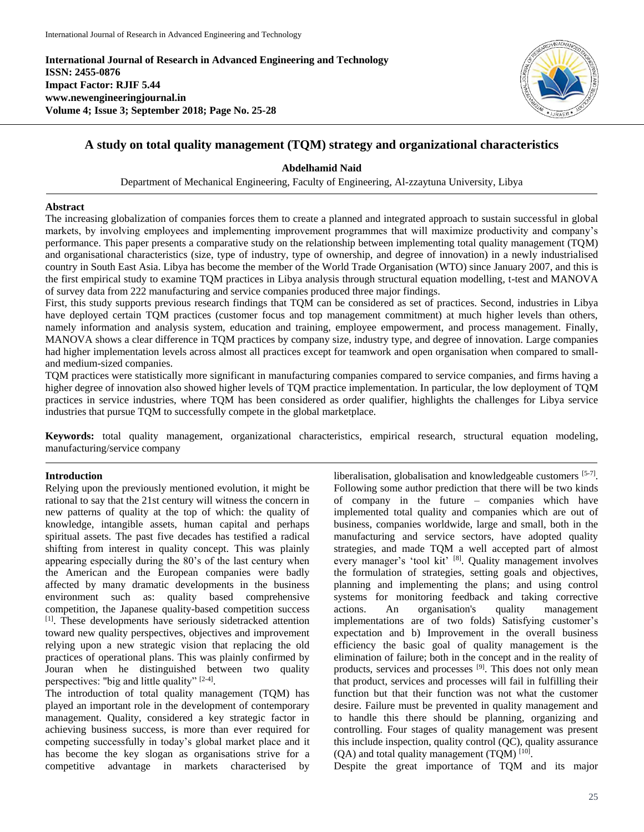**International Journal of Research in Advanced Engineering and Technology ISSN: 2455-0876 Impact Factor: RJIF 5.44 www.newengineeringjournal.in Volume 4; Issue 3; September 2018; Page No. 25-28**



# **A study on total quality management (TQM) strategy and organizational characteristics**

**Abdelhamid Naid**

Department of Mechanical Engineering, Faculty of Engineering, Al-zzaytuna University, Libya

## **Abstract**

The increasing globalization of companies forces them to create a planned and integrated approach to sustain successful in global markets, by involving employees and implementing improvement programmes that will maximize productivity and company's performance. This paper presents a comparative study on the relationship between implementing total quality management (TQM) and organisational characteristics (size, type of industry, type of ownership, and degree of innovation) in a newly industrialised country in South East Asia. Libya has become the member of the World Trade Organisation (WTO) since January 2007, and this is the first empirical study to examine TQM practices in Libya analysis through structural equation modelling, t-test and MANOVA of survey data from 222 manufacturing and service companies produced three major findings.

First, this study supports previous research findings that TQM can be considered as set of practices. Second, industries in Libya have deployed certain TQM practices (customer focus and top management commitment) at much higher levels than others, namely information and analysis system, education and training, employee empowerment, and process management. Finally, MANOVA shows a clear difference in TQM practices by company size, industry type, and degree of innovation. Large companies had higher implementation levels across almost all practices except for teamwork and open organisation when compared to smalland medium-sized companies.

TQM practices were statistically more significant in manufacturing companies compared to service companies, and firms having a higher degree of innovation also showed higher levels of TQM practice implementation. In particular, the low deployment of TQM practices in service industries, where TQM has been considered as order qualifier, highlights the challenges for Libya service industries that pursue TQM to successfully compete in the global marketplace.

**Keywords:** total quality management, organizational characteristics, empirical research, structural equation modeling, manufacturing/service company

# **Introduction**

Relying upon the previously mentioned evolution, it might be rational to say that the 21st century will witness the concern in new patterns of quality at the top of which: the quality of knowledge, intangible assets, human capital and perhaps spiritual assets. The past five decades has testified a radical shifting from interest in quality concept. This was plainly appearing especially during the 80's of the last century when the American and the European companies were badly affected by many dramatic developments in the business environment such as: quality based comprehensive competition, the Japanese quality-based competition success [1]. These developments have seriously sidetracked attention toward new quality perspectives, objectives and improvement relying upon a new strategic vision that replacing the old practices of operational plans. This was plainly confirmed by Jouran when he distinguished between two quality perspectives: "big and little quality"  $[2-4]$ .

The introduction of total quality management (TQM) has played an important role in the development of contemporary management. Quality, considered a key strategic factor in achieving business success, is more than ever required for competing successfully in today's global market place and it has become the key slogan as organisations strive for a competitive advantage in markets characterised by

liberalisation, globalisation and knowledgeable customers [5-7]. Following some author prediction that there will be two kinds of company in the future – companies which have implemented total quality and companies which are out of business, companies worldwide, large and small, both in the manufacturing and service sectors, have adopted quality strategies, and made TQM a well accepted part of almost every manager's 'tool kit' [8]. Quality management involves the formulation of strategies, setting goals and objectives, planning and implementing the plans; and using control systems for monitoring feedback and taking corrective actions. An organisation's quality management implementations are of two folds) Satisfying customer's expectation and b) Improvement in the overall business efficiency the basic goal of quality management is the elimination of failure; both in the concept and in the reality of products, services and processes [9]. This does not only mean that product, services and processes will fail in fulfilling their function but that their function was not what the customer desire. Failure must be prevented in quality management and to handle this there should be planning, organizing and controlling. Four stages of quality management was present this include inspection, quality control (QC), quality assurance  $(QA)$  and total quality management (TQM)  $^{[10]}$ .

Despite the great importance of TQM and its major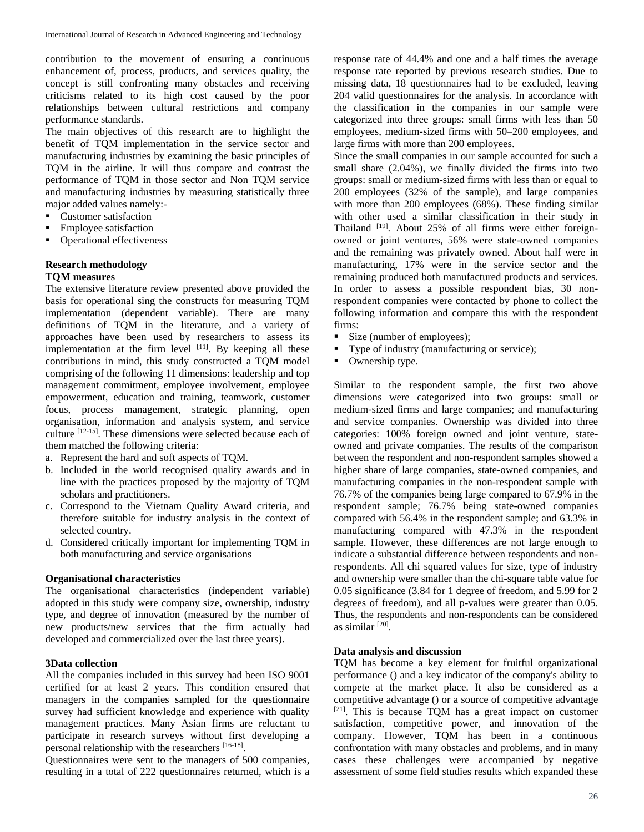contribution to the movement of ensuring a continuous enhancement of, process, products, and services quality, the concept is still confronting many obstacles and receiving criticisms related to its high cost caused by the poor relationships between cultural restrictions and company performance standards.

The main objectives of this research are to highlight the benefit of TQM implementation in the service sector and manufacturing industries by examining the basic principles of TQM in the airline. It will thus compare and contrast the performance of TQM in those sector and Non TQM service and manufacturing industries by measuring statistically three major added values namely:-

- Customer satisfaction
- Employee satisfaction
- Operational effectiveness

## **Research methodology**

## **TQM measures**

The extensive literature review presented above provided the basis for operational sing the constructs for measuring TQM implementation (dependent variable). There are many definitions of TQM in the literature, and a variety of approaches have been used by researchers to assess its implementation at the firm level  $[11]$ . By keeping all these contributions in mind, this study constructed a TQM model comprising of the following 11 dimensions: leadership and top management commitment, employee involvement, employee empowerment, education and training, teamwork, customer focus, process management, strategic planning, open organisation, information and analysis system, and service culture [12-15]. These dimensions were selected because each of them matched the following criteria:

- a. Represent the hard and soft aspects of TQM.
- b. Included in the world recognised quality awards and in line with the practices proposed by the majority of TQM scholars and practitioners.
- c. Correspond to the Vietnam Quality Award criteria, and therefore suitable for industry analysis in the context of selected country.
- d. Considered critically important for implementing TQM in both manufacturing and service organisations

## **Organisational characteristics**

The organisational characteristics (independent variable) adopted in this study were company size, ownership, industry type, and degree of innovation (measured by the number of new products/new services that the firm actually had developed and commercialized over the last three years).

## **3Data collection**

All the companies included in this survey had been ISO 9001 certified for at least 2 years. This condition ensured that managers in the companies sampled for the questionnaire survey had sufficient knowledge and experience with quality management practices. Many Asian firms are reluctant to participate in research surveys without first developing a personal relationship with the researchers [16-18].

Questionnaires were sent to the managers of 500 companies, resulting in a total of 222 questionnaires returned, which is a

response rate of 44.4% and one and a half times the average response rate reported by previous research studies. Due to missing data, 18 questionnaires had to be excluded, leaving 204 valid questionnaires for the analysis. In accordance with the classification in the companies in our sample were categorized into three groups: small firms with less than 50 employees, medium-sized firms with 50–200 employees, and large firms with more than 200 employees.

Since the small companies in our sample accounted for such a small share (2.04%), we finally divided the firms into two groups: small or medium-sized firms with less than or equal to 200 employees (32% of the sample), and large companies with more than 200 employees (68%). These finding similar with other used a similar classification in their study in Thailand <sup>[19]</sup>. About 25% of all firms were either foreignowned or joint ventures, 56% were state-owned companies and the remaining was privately owned. About half were in manufacturing, 17% were in the service sector and the remaining produced both manufactured products and services. In order to assess a possible respondent bias, 30 nonrespondent companies were contacted by phone to collect the following information and compare this with the respondent firms:

- Size (number of employees);
- Type of industry (manufacturing or service);
- Ownership type.

Similar to the respondent sample, the first two above dimensions were categorized into two groups: small or medium-sized firms and large companies; and manufacturing and service companies. Ownership was divided into three categories: 100% foreign owned and joint venture, stateowned and private companies. The results of the comparison between the respondent and non-respondent samples showed a higher share of large companies, state-owned companies, and manufacturing companies in the non-respondent sample with 76.7% of the companies being large compared to 67.9% in the respondent sample; 76.7% being state-owned companies compared with 56.4% in the respondent sample; and 63.3% in manufacturing compared with 47.3% in the respondent sample. However, these differences are not large enough to indicate a substantial difference between respondents and nonrespondents. All chi squared values for size, type of industry and ownership were smaller than the chi-square table value for 0.05 significance (3.84 for 1 degree of freedom, and 5.99 for 2 degrees of freedom), and all p-values were greater than 0.05. Thus, the respondents and non-respondents can be considered as similar [20] .

## **Data analysis and discussion**

TQM has become a key element for fruitful organizational performance () and a key indicator of the company's ability to compete at the market place. It also be considered as a competitive advantage () or a source of competitive advantage [21]. This is because TQM has a great impact on customer satisfaction, competitive power, and innovation of the company. However, TQM has been in a continuous confrontation with many obstacles and problems, and in many cases these challenges were accompanied by negative assessment of some field studies results which expanded these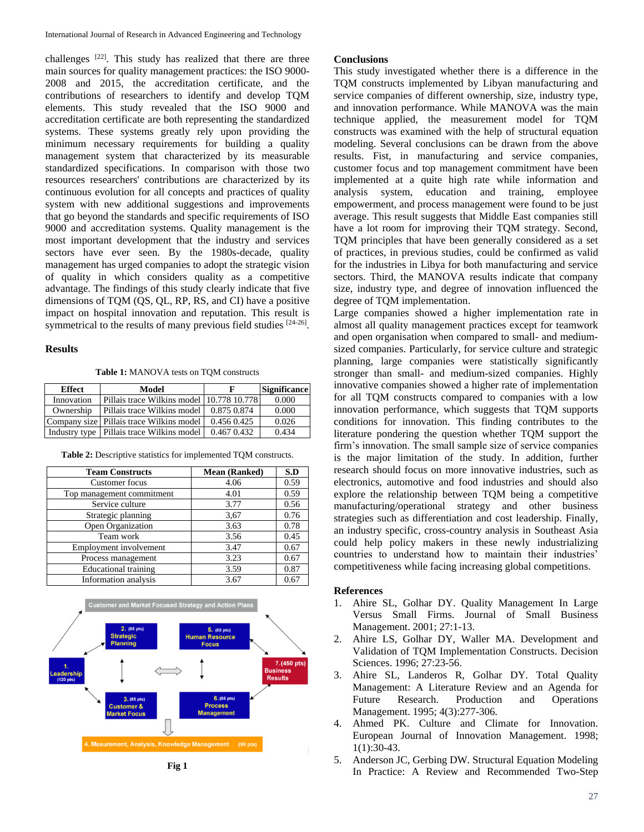challenges [22]. This study has realized that there are three main sources for quality management practices: the ISO 9000- 2008 and 2015, the accreditation certificate, and the contributions of researchers to identify and develop TQM elements. This study revealed that the ISO 9000 and accreditation certificate are both representing the standardized systems. These systems greatly rely upon providing the minimum necessary requirements for building a quality management system that characterized by its measurable standardized specifications. In comparison with those two resources researchers' contributions are characterized by its continuous evolution for all concepts and practices of quality system with new additional suggestions and improvements that go beyond the standards and specific requirements of ISO 9000 and accreditation systems. Quality management is the most important development that the industry and services sectors have ever seen. By the 1980s-decade, quality management has urged companies to adopt the strategic vision of quality in which considers quality as a competitive advantage. The findings of this study clearly indicate that five dimensions of TQM (QS, QL, RP, RS, and CI) have a positive impact on hospital innovation and reputation. This result is symmetrical to the results of many previous field studies  $[24-26]$ .

#### **Results**

**Table 1:** MANOVA tests on TQM constructs

| Effect     | Model                                       |                 | <b>Significance</b> |
|------------|---------------------------------------------|-----------------|---------------------|
| Innovation | Pillais trace Wilkins model 10.778 10.778   |                 | 0.000               |
| Ownership  | Pillais trace Wilkins model                 | 0.875 0.874     | 0.000               |
|            | Company size   Pillais trace Wilkins model  | $0.456$ $0.425$ | 0.026               |
|            | Industry type   Pillais trace Wilkins model | 0.467 0.432     | 0.434               |

**Table 2:** Descriptive statistics for implemented TQM constructs.

| <b>Team Constructs</b>      | <b>Mean (Ranked)</b> | S.D  |
|-----------------------------|----------------------|------|
| Customer focus              | 4.06                 | 0.59 |
| Top management commitment   | 4.01                 | 0.59 |
| Service culture             | 3.77                 | 0.56 |
| Strategic planning          | 3,67                 | 0.76 |
| Open Organization           | 3.63                 | 0.78 |
| Team work                   | 3.56                 | 0.45 |
| Employment involvement      | 3.47                 | 0.67 |
| Process management          | 3.23                 | 0.67 |
| <b>Educational training</b> | 3.59                 | 0.87 |
| Information analysis        | 3.67                 | 0.67 |



## **Conclusions**

This study investigated whether there is a difference in the TQM constructs implemented by Libyan manufacturing and service companies of different ownership, size, industry type, and innovation performance. While MANOVA was the main technique applied, the measurement model for TQM constructs was examined with the help of structural equation modeling. Several conclusions can be drawn from the above results. Fist, in manufacturing and service companies, customer focus and top management commitment have been implemented at a quite high rate while information and analysis system, education and training, employee empowerment, and process management were found to be just average. This result suggests that Middle East companies still have a lot room for improving their TQM strategy. Second, TQM principles that have been generally considered as a set of practices, in previous studies, could be confirmed as valid for the industries in Libya for both manufacturing and service sectors. Third, the MANOVA results indicate that company size, industry type, and degree of innovation influenced the degree of TQM implementation.

Large companies showed a higher implementation rate in almost all quality management practices except for teamwork and open organisation when compared to small- and mediumsized companies. Particularly, for service culture and strategic planning, large companies were statistically significantly stronger than small- and medium-sized companies. Highly innovative companies showed a higher rate of implementation for all TQM constructs compared to companies with a low innovation performance, which suggests that TQM supports conditions for innovation. This finding contributes to the literature pondering the question whether TQM support the firm's innovation. The small sample size of service companies is the major limitation of the study. In addition, further research should focus on more innovative industries, such as electronics, automotive and food industries and should also explore the relationship between TQM being a competitive manufacturing/operational strategy and other business strategies such as differentiation and cost leadership. Finally, an industry specific, cross-country analysis in Southeast Asia could help policy makers in these newly industrializing countries to understand how to maintain their industries' competitiveness while facing increasing global competitions.

#### **References**

- 1. Ahire SL, Golhar DY. Quality Management In Large Versus Small Firms. Journal of Small Business Management. 2001; 27:1-13.
- 2. Ahire LS, Golhar DY, Waller MA. Development and Validation of TQM Implementation Constructs. Decision Sciences. 1996; 27:23-56.
- 3. Ahire SL, Landeros R, Golhar DY. Total Quality Management: A Literature Review and an Agenda for Future Research. Production and Operations Management. 1995; 4(3):277-306.
- Ahmed PK. Culture and Climate for Innovation. European Journal of Innovation Management. 1998; 1(1):30-43.
- 5. Anderson JC, Gerbing DW. Structural Equation Modeling In Practice: A Review and Recommended Two-Step